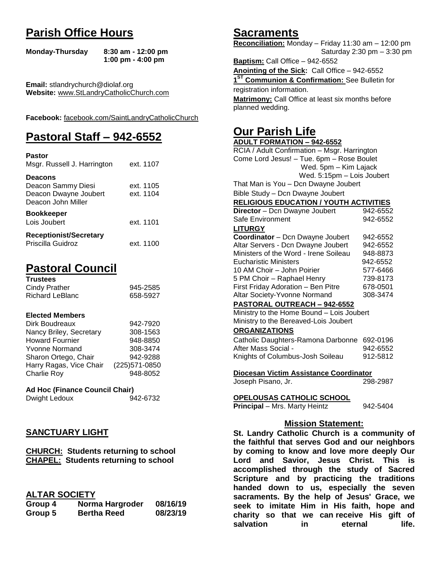# **Parish Office Hours**

```
Monday-Thursday 8:30 am - 12:00 pm
       1:00 pm - 4:00 pm
```
**Email:** stlandrychurch@diolaf.org **Website:** [www.StLandryCatholicChurch.com](http://www.stlandrycatholicchurch.com/)

**Facebook:** [facebook.com/SaintLandryCatholicChurch](http://facebook.com/SaintLandryCatholicChurch)

# **Pastoral Staff – 942-6552**

| <b>Pastor</b><br>Msgr. Russell J. Harrington                                        | ext. 1107              |
|-------------------------------------------------------------------------------------|------------------------|
| <b>Deacons</b><br>Deacon Sammy Diesi<br>Deacon Dwayne Joubert<br>Deacon John Miller | ext. 1105<br>ext. 1104 |
| <b>Bookkeeper</b><br>Lois Joubert                                                   | ext. 1101              |
| <b>Receptionist/Secretary</b><br>Priscilla Guidroz                                  | ext. 1100              |

# **Pastoral Council**

| <b>Trustees</b> |          |
|-----------------|----------|
| Cindy Prather   | 945-2585 |
| Richard LeBlanc | 658-5927 |

### **Elected Members**

| Dirk Boudreaux          | 942-7920       |
|-------------------------|----------------|
| Nancy Briley, Secretary | 308-1563       |
| <b>Howard Fournier</b>  | 948-8850       |
| <b>Yvonne Normand</b>   | 308-3474       |
| Sharon Ortego, Chair    | 942-9288       |
| Harry Ragas, Vice Chair | (225) 571-0850 |
| <b>Charlie Roy</b>      | 948-8052       |

## **Ad Hoc (Finance Council Chair)**

| Dwight Ledoux | 942-6732 |
|---------------|----------|
|               |          |

## **SANCTUARY LIGHT**

| <b>CHURCH:</b> Students returning to school |
|---------------------------------------------|
| <b>CHAPEL: Students returning to school</b> |

## **ALTAR SOCIETY**

| Group 4 | Norma Hargroder    | 08/16/19 |
|---------|--------------------|----------|
| Group 5 | <b>Bertha Reed</b> | 08/23/19 |

# **Sacraments**

**Reconciliation:** Monday – Friday 11:30 am – 12:00 pm Saturday 2:30 pm – 3:30 pm

**Baptism:** Call Office – 942-6552 **Anointing of the Sick:** Call Office – 942-6552 **1 ST Communion & Confirmation:** See Bulletin for registration information. **Matrimony:** Call Office at least six months before planned wedding.

# **Our Parish Life**

| <b>ADULT FORMATION - 942-6552</b>             |          |
|-----------------------------------------------|----------|
| RCIA / Adult Confirmation - Msgr. Harrington  |          |
| Come Lord Jesus! - Tue. 6pm - Rose Boulet     |          |
| Wed. 5pm - Kim Lajack                         |          |
| Wed. 5:15pm - Lois Joubert                    |          |
| That Man is You - Dcn Dwayne Joubert          |          |
| Bible Study - Dcn Dwayne Joubert              |          |
| <b>RELIGIOUS EDUCATION / YOUTH ACTIVITIES</b> |          |
| Director - Dcn Dwayne Joubert                 | 942-6552 |
| Safe Environment                              | 942-6552 |
| <b>LITURGY</b>                                |          |
| Coordinator - Dcn Dwayne Joubert              | 942-6552 |
| Altar Servers - Dcn Dwayne Joubert            | 942-6552 |
| Ministers of the Word - Irene Soileau         | 948-8873 |
| <b>Eucharistic Ministers</b>                  | 942-6552 |
| 10 AM Choir - John Poirier                    | 577-6466 |
| 5 PM Choir - Raphael Henry                    | 739-8173 |
| First Friday Adoration - Ben Pitre            | 678-0501 |
| Altar Society-Yvonne Normand                  | 308-3474 |
| PASTORAL OUTREACH - 942-6552                  |          |
| Ministry to the Home Bound - Lois Joubert     |          |
| Ministry to the Bereaved-Lois Joubert         |          |
| <b>ORGANIZATIONS</b>                          |          |
| Catholic Daughters-Ramona Darbonne            | 692-0196 |
| After Mass Social -                           | 942-6552 |
| Knights of Columbus-Josh Soileau              | 912-5812 |
|                                               |          |
| Diocesan Victim Assistance Coordinator        |          |
| Joseph Pisano, Jr.                            | 298-2987 |
| <b>OPELOUSAS CATHOLIC SCHOOL</b>              |          |
| Principal - Mrs. Marty Heintz                 | 942-5404 |
| <b>Mission Statement:</b>                     |          |
| St. Landry Catholic Church is a communit      |          |
|                                               |          |

**St. Landry Catholic Church is a community of the faithful that serves God and our neighbors by coming to know and love more deeply Our Lord and Savior, Jesus Christ. This is accomplished through the study of Sacred Scripture and by practicing the traditions handed down to us, especially the seven sacraments. By the help of Jesus' Grace, we seek to imitate Him in His faith, hope and charity so that we can receive His gift of salvation in** eternal life.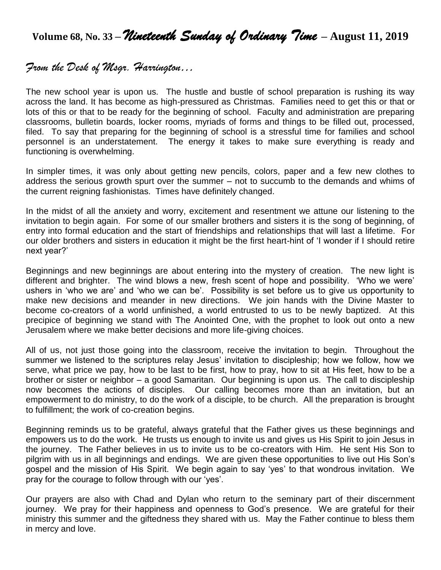# **Volume 68, No. 33 –** *Nineteenth Sunday of Ordinary Time* **– August 11, 2019**

## *From the Desk of Msgr. Harrington…*

The new school year is upon us. The hustle and bustle of school preparation is rushing its way across the land. It has become as high-pressured as Christmas. Families need to get this or that or lots of this or that to be ready for the beginning of school. Faculty and administration are preparing classrooms, bulletin boards, locker rooms, myriads of forms and things to be filled out, processed, filed. To say that preparing for the beginning of school is a stressful time for families and school personnel is an understatement. The energy it takes to make sure everything is ready and functioning is overwhelming.

In simpler times, it was only about getting new pencils, colors, paper and a few new clothes to address the serious growth spurt over the summer – not to succumb to the demands and whims of the current reigning fashionistas. Times have definitely changed.

In the midst of all the anxiety and worry, excitement and resentment we attune our listening to the invitation to begin again. For some of our smaller brothers and sisters it is the song of beginning, of entry into formal education and the start of friendships and relationships that will last a lifetime. For our older brothers and sisters in education it might be the first heart-hint of 'I wonder if I should retire next year?'

Beginnings and new beginnings are about entering into the mystery of creation. The new light is different and brighter. The wind blows a new, fresh scent of hope and possibility. 'Who we were' ushers in 'who we are' and 'who we can be'. Possibility is set before us to give us opportunity to make new decisions and meander in new directions. We join hands with the Divine Master to become co-creators of a world unfinished, a world entrusted to us to be newly baptized. At this precipice of beginning we stand with The Anointed One, with the prophet to look out onto a new Jerusalem where we make better decisions and more life-giving choices.

All of us, not just those going into the classroom, receive the invitation to begin. Throughout the summer we listened to the scriptures relay Jesus' invitation to discipleship; how we follow, how we serve, what price we pay, how to be last to be first, how to pray, how to sit at His feet, how to be a brother or sister or neighbor – a good Samaritan. Our beginning is upon us. The call to discipleship now becomes the actions of disciples. Our calling becomes more than an invitation, but an empowerment to do ministry, to do the work of a disciple, to be church. All the preparation is brought to fulfillment; the work of co-creation begins.

Beginning reminds us to be grateful, always grateful that the Father gives us these beginnings and empowers us to do the work. He trusts us enough to invite us and gives us His Spirit to join Jesus in the journey. The Father believes in us to invite us to be co-creators with Him. He sent His Son to pilgrim with us in all beginnings and endings. We are given these opportunities to live out His Son's gospel and the mission of His Spirit. We begin again to say 'yes' to that wondrous invitation. We pray for the courage to follow through with our 'yes'.

Our prayers are also with Chad and Dylan who return to the seminary part of their discernment journey. We pray for their happiness and openness to God's presence. We are grateful for their ministry this summer and the giftedness they shared with us. May the Father continue to bless them in mercy and love.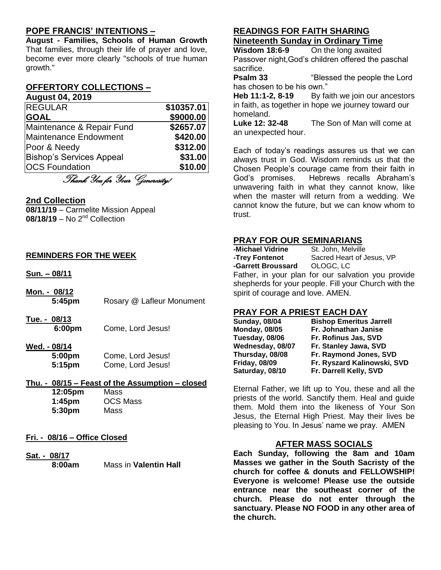## **POPE FRANCIS' INTENTIONS –**

**August - Families, Schools of Human Growth** That families, through their life of prayer and love, become ever more clearly "schools of true human growth."

#### **OFFERTORY COLLECTIONS – August 04, 2019**

| <b>REGULAR</b>            | \$10357.01 |
|---------------------------|------------|
| <b>GOAL</b>               | \$9000.00  |
| Maintenance & Repair Fund | \$2657.07  |
| Maintenance Endowment     | \$420.00   |
| Poor & Needy              | \$312.00   |
| Bishop's Services Appeal  | \$31.00    |
| <b>OCS Foundation</b>     | \$10.00    |

Thank You for Your Generosity!

### **2nd Collection**

**08/11/19** – Carmelite Mission Appeal **08/18/19** – No 2nd Collection

## **REMINDERS FOR THE WEEK**

**Sun. – 08/11**

- **Mon. - 08/12 5:45pm** Rosary @ Lafleur Monument
- **Tue. - 08/13 6:00pm** Come, Lord Jesus!

## **Wed. - 08/14**

| 5:00pm | Come, Lord Jesus! |
|--------|-------------------|
| 5:15pm | Come, Lord Jesus! |

## **Thu. - 08/15 – Feast of the Assumption – closed**

| 12:05pm | Mass            |
|---------|-----------------|
| 1:45pm  | <b>OCS Mass</b> |
| 5:30pm  | Mass            |

- **Fri. - 08/16 – Office Closed**
- **Sat. - 08/17**

**8:00am** Mass in **Valentin Hall**

## **READINGS FOR FAITH SHARING Nineteenth Sunday in Ordinary Time**

**Wisdom 18:6-9** On the long awaited Passover night,God's children offered the paschal sacrifice.

**Psalm 33** "Blessed the people the Lord has chosen to be his own."

Heb 11:1-2, 8-19 By faith we join our ancestors in faith, as together in hope we journey toward our homeland.

**Luke 12: 32-48** The Son of Man will come at an unexpected hour.

Each of today's readings assures us that we can always trust in God. Wisdom reminds us that the Chosen People's courage came from their faith in God's promises. Hebrews recalls Abraham's unwavering faith in what they cannot know, like when the master will return from a wedding. We cannot know the future, but we can know whom to trust.

## **PRAY FOR OUR SEMINARIANS**

| -Michael Vidrine                                     | St. John, Melville                                 |  |
|------------------------------------------------------|----------------------------------------------------|--|
| -Trey Fontenot                                       | Sacred Heart of Jesus, VP                          |  |
| -Garrett Broussard                                   | OLOGC, LC                                          |  |
|                                                      | Father, in your plan for our salvation you provide |  |
| shepherds for your people. Fill your Church with the |                                                    |  |
| spirit of courage and love. AMEN.                    |                                                    |  |

## **PRAY FOR A PRIEST EACH DAY**

| <b>Sunday, 08/04</b> | <b>Bishop Emeritus Jarrell</b> |
|----------------------|--------------------------------|
| <b>Monday, 08/05</b> | Fr. Johnathan Janise           |
| Tuesday, 08/06       | Fr. Rofinus Jas, SVD           |
| Wednesday, 08/07     | Fr. Stanley Jawa, SVD          |
| Thursday, 08/08      | Fr. Raymond Jones, SVD         |
| <b>Friday, 08/09</b> | Fr. Ryszard Kalinowski, SVD    |
| Saturday, 08/10      | Fr. Darrell Kelly, SVD         |

Eternal Father, we lift up to You, these and all the priests of the world. Sanctify them. Heal and guide them. Mold them into the likeness of Your Son Jesus, the Eternal High Priest. May their lives be pleasing to You. In Jesus' name we pray. AMEN

## **AFTER MASS SOCIALS**

**Each Sunday, following the 8am and 10am Masses we gather in the South Sacristy of the church for coffee & donuts and FELLOWSHIP! Everyone is welcome! Please use the outside entrance near the southeast corner of the church. Please do not enter through the sanctuary. Please NO FOOD in any other area of the church.**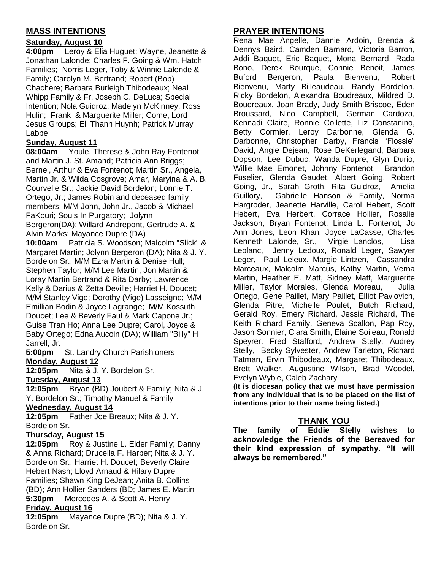## **MASS INTENTIONS**

## **Saturday, August 10**

**4:00pm** Leroy & Elia Huguet; Wayne, Jeanette & Jonathan Lalonde; Charles F. Going & Wm. Hatch Families; Norris Leger, Toby & Winnie Lalonde & Family; Carolyn M. Bertrand; Robert (Bob) Chachere; Barbara Burleigh Thibodeaux; Neal Whipp Family & Fr. Joseph C. DeLuca; Special Intention; Nola Guidroz; Madelyn McKinney; Ross Hulin; Frank & Marguerite Miller; Come, Lord Jesus Groups; Eli Thanh Huynh; Patrick Murray Labbe

## **Sunday, August 11**

**08:00am** Youle, Therese & John Ray Fontenot and Martin J. St. Amand; Patricia Ann Briggs; Bernel, Arthur & Eva Fontenot; Martin Sr., Angela, Martin Jr. & Wilda Cosgrove; Amar, Maryina & A. B. Courvelle Sr.; Jackie David Bordelon; Lonnie T. Ortego, Jr.; James Robin and deceased family members; M/M John, John Jr., Jacob & Michael FaKouri; Souls In Purgatory; Jolynn Bergeron(DA); Willard Andrepont, Gertrude A. &

Alvin Marks; Mayance Dupre (DA)

**10:00am** Patricia S. Woodson; Malcolm "Slick" & Margaret Martin; Jolynn Bergeron (DA); Nita & J. Y. Bordelon Sr.; M/M Ezra Martin & Denise Hull; Stephen Taylor; M/M Lee Martin, Jon Martin & Loray Martin Bertrand & Rita Darby; Lawrence Kelly & Darius & Zetta Deville; Harriet H. Doucet; M/M Stanley Vige; Dorothy (Vige) Lasseigne; M/M Emillian Bodin & Joyce Lagrange; M/M Kossuth Doucet; Lee & Beverly Faul & Mark Capone Jr.; Guise Tran Ho; Anna Lee Dupre; Carol, Joyce & Baby Ortego; Edna Aucoin (DA); William "Billy" H Jarrell, Jr.

**5:00pm** St. Landry Church Parishioners **Monday, August 12**

**12:05pm** Nita & J. Y. Bordelon Sr. **Tuesday, August 13**

**12:05pm** Bryan (BD) Joubert & Family; Nita & J. Y. Bordelon Sr.; Timothy Manuel & Family

### **Wednesday, August 14**

**12:05pm** Father Joe Breaux; Nita & J. Y. Bordelon Sr.

## **Thursday, August 15**

**12:05pm** Roy & Justine L. Elder Family; Danny & Anna Richard; Drucella F. Harper; Nita & J. Y. Bordelon Sr.; Harriet H. Doucet; Beverly Claire Hebert Nash; Lloyd Arnaud & Hilary Dupre Families; Shawn King DeJean; Anita B. Collins (BD); Ann Hollier Sanders (BD; James E. Martin **5:30pm** Mercedes A. & Scott A. Henry **Friday, August 16**

**12:05pm** Mayance Dupre (BD); Nita & J. Y. Bordelon Sr.

## **PRAYER INTENTIONS**

Rena Mae Angelle, Dannie Ardoin, Brenda & Dennys Baird, Camden Barnard, Victoria Barron, Addi Baquet, Eric Baquet, Mona Bernard, Rada Bono, Derek Bourque, Connie Benoit, James Buford Bergeron, Paula Bienvenu, Robert Bienvenu, Marty Billeaudeau, Randy Bordelon, Ricky Bordelon, Alexandra Boudreaux, Mildred D. Boudreaux, Joan Brady, Judy Smith Briscoe, Eden Broussard, Nico Campbell, German Cardoza, Kennadi Claire, Ronnie Collette, Liz Constanino, Betty Cormier, Leroy Darbonne, Glenda G. Darbonne, Christopher Darby, Francis "Flossie" David, Angie Dejean, Rose DeKerlegand, Barbara Dopson, Lee Dubuc, Wanda Dupre, Glyn Durio, Willie Mae Emonet, Johnny Fontenot, Brandon Fuselier, Glenda Gaudet, Albert Going, Robert Going, Jr., Sarah Groth, Rita Guidroz, Amelia Guillory, Gabrielle Hanson & Family, Norma Hargroder, Jeanette Harville, Carol Hebert, Scott Hebert, Eva Herbert, Corrace Hollier, Rosalie Jackson, Bryan Fontenot, Linda L. Fontenot, Jo Ann Jones, Leon Khan, Joyce LaCasse, Charles Kenneth Lalonde, Sr., Virgie Lanclos, Lisa Leblanc, Jenny Ledoux, Ronald Leger, Sawyer Leger, Paul Leleux, Margie Lintzen, Cassandra Marceaux, Malcolm Marcus, Kathy Martin, Verna Martin, Heather E. Matt, Sidney Matt, Marguerite Miller, Taylor Morales, Glenda Moreau, Julia Ortego, Gene Paillet, Mary Paillet, Elliot Pavlovich, Glenda Pitre, Michelle Poulet, Butch Richard, Gerald Roy, Emery Richard, Jessie Richard, The Keith Richard Family, Geneva Scallon, Pap Roy, Jason Sonnier, Clara Smith, Elaine Soileau, Ronald Speyrer. Fred Stafford, Andrew Stelly, Audrey Stelly, Becky Sylvester, Andrew Tarleton, Richard Tatman, Ervin Thibodeaux, Margaret Thibodeaux, Brett Walker, Augustine Wilson, Brad Woodel, Evelyn Wyble, Caleb Zachary

**(It is diocesan policy that we must have permission from any individual that is to be placed on the list of intentions prior to their name being listed.)**

## **THANK YOU**

**The family of Eddie Stelly wishes to acknowledge the Friends of the Bereaved for their kind expression of sympathy. "It will always be remembered."**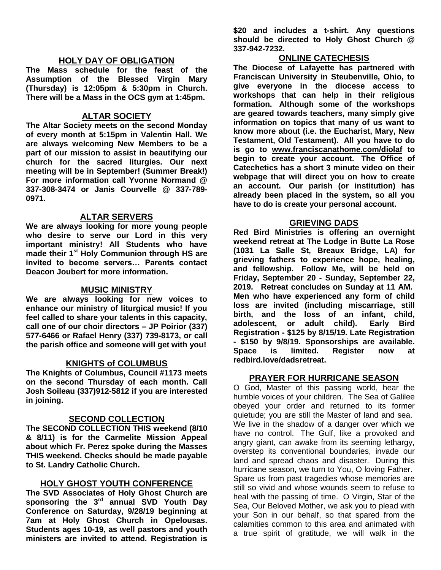## **HOLY DAY OF OBLIGATION**

**The Mass schedule for the feast of the Assumption of the Blessed Virgin Mary (Thursday) is 12:05pm & 5:30pm in Church. There will be a Mass in the OCS gym at 1:45pm.**

### **ALTAR SOCIETY**

**The Altar Society meets on the second Monday of every month at 5:15pm in Valentin Hall. We are always welcoming New Members to be a part of our mission to assist in beautifying our church for the sacred liturgies. Our next meeting will be in September! (Summer Break!) For more information call Yvonne Normand @ 337-308-3474 or Janis Courvelle @ 337-789- 0971.** 

## **ALTAR SERVERS**

**We are always looking for more young people who desire to serve our Lord in this very important ministry! All Students who have made their 1st Holy Communion through HS are invited to become servers… Parents contact Deacon Joubert for more information.**

#### **MUSIC MINISTRY**

**We are always looking for new voices to enhance our ministry of liturgical music! If you feel called to share your talents in this capacity, call one of our choir directors – JP Poirior (337) 577-6466 or Rafael Henry (337) 739-8173, or call the parish office and someone will get with you!**

### **KNIGHTS of COLUMBUS**

**The Knights of Columbus, Council #1173 meets on the second Thursday of each month. Call Josh Soileau (337)912-5812 if you are interested in joining.** 

### **SECOND COLLECTION**

**The SECOND COLLECTION THIS weekend (8/10 & 8/11) is for the Carmelite Mission Appeal about which Fr. Perez spoke during the Masses THIS weekend. Checks should be made payable to St. Landry Catholic Church.** 

### **HOLY GHOST YOUTH CONFERENCE**

**The SVD Associates of Holy Ghost Church are sponsoring the 3rd annual SVD Youth Day Conference on Saturday, 9/28/19 beginning at 7am at Holy Ghost Church in Opelousas. Students ages 10-19, as well pastors and youth ministers are invited to attend. Registration is**  **\$20 and includes a t-shirt. Any questions should be directed to Holy Ghost Church @ 337-942-7232.**

#### **ONLINE CATECHESIS**

**The Diocese of Lafayette has partnered with Franciscan University in Steubenville, Ohio, to give everyone in the diocese access to workshops that can help in their religious formation. Although some of the workshops are geared towards teachers, many simply give information on topics that many of us want to know more about (i.e. the Eucharist, Mary, New Testament, Old Testament). All you have to do is go to [www.franciscanathome.com/diolaf](http://www.franciscanathome.com/diolaf) to begin to create your account. The Office of Catechetics has a short 3 minute video on their webpage that will direct you on how to create an account. Our parish (or institution) has already been placed in the system, so all you have to do is create your personal account.**

### **GRIEVING DADS**

**Red Bird Ministries is offering an overnight weekend retreat at The Lodge in Butte La Rose (1031 La Salle St, Breaux Bridge, LA) for grieving fathers to experience hope, healing, and fellowship. Follow Me, will be held on Friday, September 20 - Sunday, September 22, 2019. Retreat concludes on Sunday at 11 AM. Men who have experienced any form of child loss are invited (including miscarriage, still birth, and the loss of an infant, child, adolescent, or adult child). Early Bird Registration - \$125 by 8/15/19. Late Registration - \$150 by 9/8/19. Sponsorships are available. Space is limited. Register now at redbird.love/dadsretreat.**

### **PRAYER FOR HURRICANE SEASON**

O God, Master of this passing world, hear the humble voices of your children. The Sea of Galilee obeyed your order and returned to its former quietude; you are still the Master of land and sea. We live in the shadow of a danger over which we have no control. The Gulf, like a provoked and angry giant, can awake from its seeming lethargy, overstep its conventional boundaries, invade our land and spread chaos and disaster. During this hurricane season, we turn to You, O loving Father. Spare us from past tragedies whose memories are still so vivid and whose wounds seem to refuse to heal with the passing of time. O Virgin, Star of the Sea, Our Beloved Mother, we ask you to plead with your Son in our behalf, so that spared from the calamities common to this area and animated with a true spirit of gratitude, we will walk in the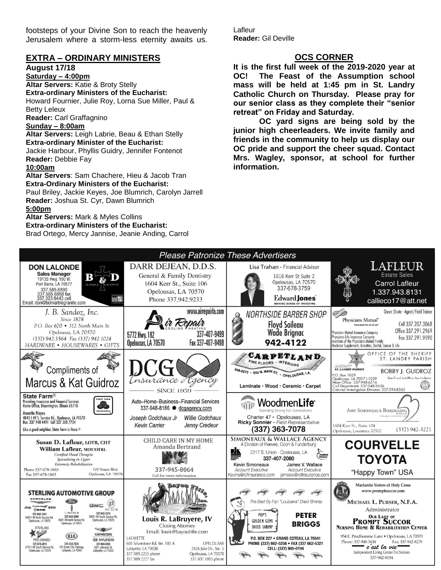footsteps of your Divine Son to reach the heavenly Jerusalem where a storm-less eternity awaits us.

#### **EXTRA – ORDINARY MINISTERS**

#### **August 17/18**

**Saturday – 4:00pm Altar Servers:** Katie & Broty Stelly **Extra-ordinary Ministers of the Eucharist:**  Howard Fournier, Julie Roy, Lorna Sue Miller, Paul & Betty Leleux **Reader:** Carl Graffagnino **Sunday – 8:00am Altar Servers:** Leigh Labrie, Beau & Ethan Stelly **Extra-ordinary Minister of the Eucharist:** Jackie Harbour, Phyllis Guidry, Jennifer Fontenot

**Reader:** Debbie Fay

#### **10:00am**

**Altar Servers**: Sam Chachere, Hieu & Jacob Tran **Extra-Ordinary Ministers of the Eucharist:** Paul Briley, Jackie Keyes, Joe Blumrich, Carolyn Jarrell **Reader:** Joshua St. Cyr, Dawn Blumrich **5:00pm** 

**Altar Servers:** Mark & Myles Collins **Extra-ordinary Ministers of the Eucharist:**

Brad Ortego, Mercy Jannise, Jeanie Anding, Carrol

Lafleur **Reader:** Gil Deville

#### **OCS CORNER**

**It is the first full week of the 2019-2020 year at OC! The Feast of the Assumption school mass will be held at 1:45 pm in St. Landry Catholic Church on Thursday. Please pray for our senior class as they complete their "senior retreat" on Friday and Saturday.** 

**OC yard signs are being sold by the junior high cheerleaders. We invite family and friends in the community to help us display our OC pride and support the cheer squad. Contact Mrs. Wagley, sponsor, at school for further information.**